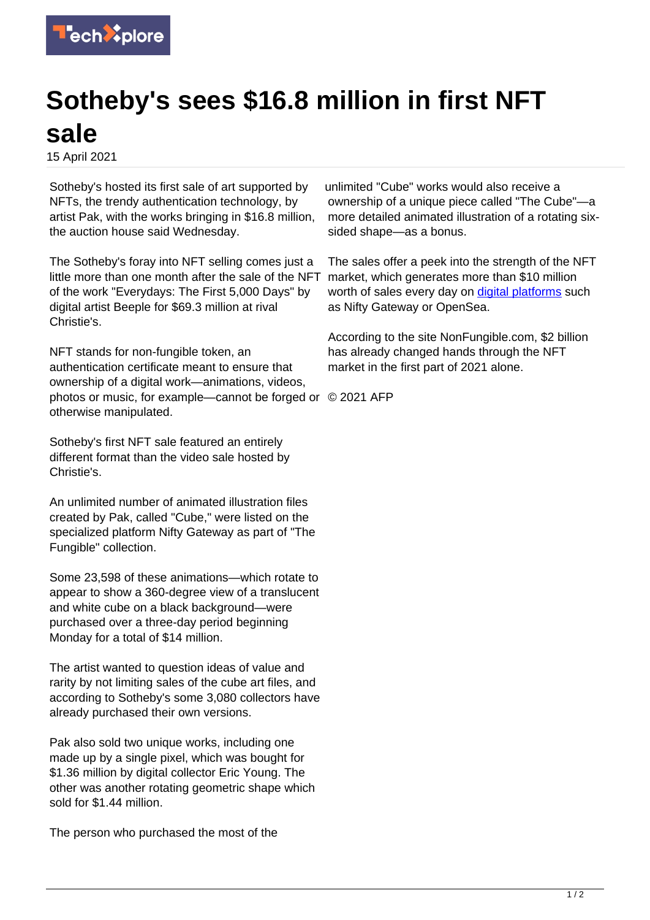

## **Sotheby's sees \$16.8 million in first NFT sale**

15 April 2021

Sotheby's hosted its first sale of art supported by NFTs, the trendy authentication technology, by artist Pak, with the works bringing in \$16.8 million, the auction house said Wednesday.

The Sotheby's foray into NFT selling comes just a little more than one month after the sale of the NFT of the work "Everydays: The First 5,000 Days" by digital artist Beeple for \$69.3 million at rival Christie's.

NFT stands for non-fungible token, an authentication certificate meant to ensure that ownership of a digital work—animations, videos, photos or music, for example—cannot be forged or © 2021 AFP otherwise manipulated.

Sotheby's first NFT sale featured an entirely different format than the video sale hosted by Christie's.

An unlimited number of animated illustration files created by Pak, called "Cube," were listed on the specialized platform Nifty Gateway as part of "The Fungible" collection.

Some 23,598 of these animations—which rotate to appear to show a 360-degree view of a translucent and white cube on a black background—were purchased over a three-day period beginning Monday for a total of \$14 million.

The artist wanted to question ideas of value and rarity by not limiting sales of the cube art files, and according to Sotheby's some 3,080 collectors have already purchased their own versions.

Pak also sold two unique works, including one made up by a single pixel, which was bought for \$1.36 million by digital collector Eric Young. The other was another rotating geometric shape which sold for \$1.44 million.

The person who purchased the most of the

unlimited "Cube" works would also receive a ownership of a unique piece called "The Cube"—a more detailed animated illustration of a rotating sixsided shape—as a bonus.

The sales offer a peek into the strength of the NFT market, which generates more than \$10 million worth of sales every day on [digital platforms](https://techxplore.com/tags/digital+platforms/) such as Nifty Gateway or OpenSea.

According to the site NonFungible.com, \$2 billion has already changed hands through the NFT market in the first part of 2021 alone.